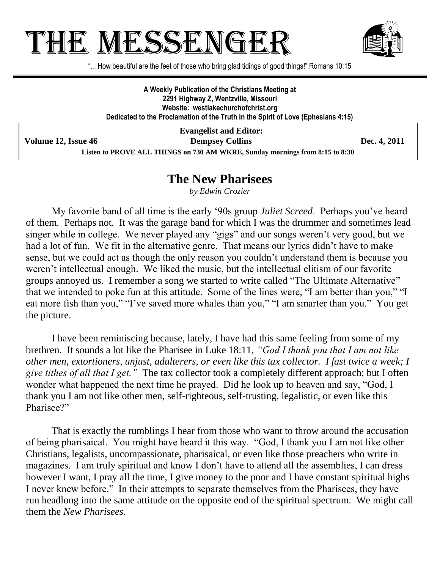## **THE MESSENGE**



"... How beautiful are the feet of those who bring glad tidings of good things!" Romans 10:15

**A Weekly Publication of the Christians Meeting at 2291 Highway Z, Wentzville, Missouri Website: westlakechurchofchrist.org Dedicated to the Proclamation of the Truth in the Spirit of Love (Ephesians 4:15)**

**Evangelist and Editor: Volume 12, Issue 46 Dempsey Collins Dec. 4, 2011 Listen to PROVE ALL THINGS on 730 AM WKRE, Sunday mornings from 8:15 to 8:30**

## **The New Pharisees**

*by Edwin Crozier*

My favorite band of all time is the early "90s group *Juliet Screed*. Perhaps you"ve heard of them. Perhaps not. It was the garage band for which I was the drummer and sometimes lead singer while in college. We never played any "gigs" and our songs weren"t very good, but we had a lot of fun. We fit in the alternative genre. That means our lyrics didn't have to make sense, but we could act as though the only reason you couldn"t understand them is because you weren't intellectual enough. We liked the music, but the intellectual elitism of our favorite groups annoyed us. I remember a song we started to write called "The Ultimate Alternative" that we intended to poke fun at this attitude. Some of the lines were, "I am better than you," "I eat more fish than you," "I've saved more whales than you," "I am smarter than you." You get the picture.

I have been reminiscing because, lately, I have had this same feeling from some of my brethren. It sounds a lot like the Pharisee in Luke 18:11, *"God I thank you that I am not like other men, extortioners, unjust, adulterers, or even like this tax collector. I fast twice a week; I give tithes of all that I get."* The tax collector took a completely different approach; but I often wonder what happened the next time he prayed. Did he look up to heaven and say, "God, I thank you I am not like other men, self-righteous, self-trusting, legalistic, or even like this Pharisee?"

That is exactly the rumblings I hear from those who want to throw around the accusation of being pharisaical. You might have heard it this way. "God, I thank you I am not like other Christians, legalists, uncompassionate, pharisaical, or even like those preachers who write in magazines. I am truly spiritual and know I don"t have to attend all the assemblies, I can dress however I want, I pray all the time, I give money to the poor and I have constant spiritual highs I never knew before." In their attempts to separate themselves from the Pharisees, they have run headlong into the same attitude on the opposite end of the spiritual spectrum. We might call them the *New Pharisees*.